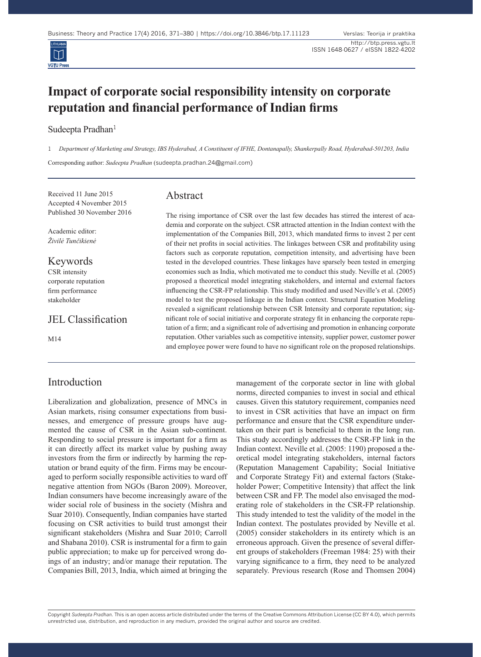

## **Impact of corporate social responsibility intensity on corporate reputation and financial performance of Indian firms**

Sudeepta Pradhan<sup>1</sup>

1 *Department of Marketing and Strategy, IBS Hyderabad, A Constituent of IFHE, Dontanapally, Shankerpally Road, Hyderabad-501203, India*

Corresponding author: *Sudeepta Pradhan* (sudeepta.pradhan.24@gmail.com)

Received 11 June 2015 Accepted 4 November 2015 Published 30 November 2016

Academic editor: *Živilė Tunčikienė*

Keywords

CSR intensity corporate reputation firm performance stakeholder

JEL Classification

M14

## Introduction

Liberalization and globalization, presence of MNCs in Asian markets, rising consumer expectations from businesses, and emergence of pressure groups have augmented the cause of CSR in the Asian sub-continent. Responding to social pressure is important for a firm as it can directly affect its market value by pushing away investors from the firm or indirectly by harming the reputation or brand equity of the firm. Firms may be encouraged to perform socially responsible activities to ward off negative attention from NGOs (Baron 2009). Moreover, Indian consumers have become increasingly aware of the wider social role of business in the society (Mishra and Suar 2010). Consequently, Indian companies have started focusing on CSR activities to build trust amongst their significant stakeholders (Mishra and Suar 2010; Carroll and Shabana 2010). CSR is instrumental for a firm to gain public appreciation; to make up for perceived wrong doings of an industry; and/or manage their reputation. The Companies Bill, 2013, India, which aimed at bringing the

# Abstract

The rising importance of CSR over the last few decades has stirred the interest of academia and corporate on the subject. CSR attracted attention in the Indian context with the implementation of the Companies Bill, 2013, which mandated firms to invest 2 per cent of their net profits in social activities. The linkages between CSR and profitability using factors such as corporate reputation, competition intensity, and advertising have been tested in the developed countries. These linkages have sparsely been tested in emerging economies such as India, which motivated me to conduct this study. Neville et al. (2005) proposed a theoretical model integrating stakeholders, and internal and external factors influencing the CSR-FP relationship. This study modified and used Neville's et al. (2005) model to test the proposed linkage in the Indian context. Structural Equation Modeling revealed a significant relationship between CSR Intensity and corporate reputation; significant role of social initiative and corporate strategy fit in enhancing the corporate reputation of a firm; and a significant role of advertising and promotion in enhancing corporate reputation. Other variables such as competitive intensity, supplier power, customer power and employee power were found to have no significant role on the proposed relationships.

> management of the corporate sector in line with global norms, directed companies to invest in social and ethical causes. Given this statutory requirement, companies need to invest in CSR activities that have an impact on firm performance and ensure that the CSR expenditure undertaken on their part is beneficial to them in the long run. This study accordingly addresses the CSR-FP link in the Indian context. Neville et al. (2005: 1190) proposed a theoretical model integrating stakeholders, internal factors (Reputation Management Capability; Social Initiative and Corporate Strategy Fit) and external factors (Stakeholder Power; Competitive Intensity) that affect the link between CSR and FP. The model also envisaged the moderating role of stakeholders in the CSR-FP relationship. This study intended to test the validity of the model in the Indian context. The postulates provided by Neville et al. (2005) consider stakeholders in its entirety which is an erroneous approach. Given the presence of several different groups of stakeholders (Freeman 1984: 25) with their varying significance to a firm, they need to be analyzed separately. Previous research (Rose and Thomsen 2004)

Copyright *Sudeepta Pradhan.* This is an open access article distributed under the terms of the Creative Commons Attribution License (CC BY 4.0), which permits unrestricted use, distribution, and reproduction in any medium, provided the original author and source are credited.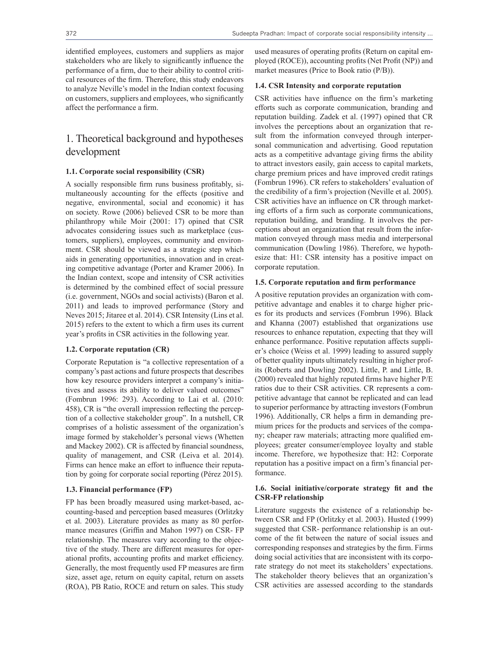identified employees, customers and suppliers as major stakeholders who are likely to significantly influence the performance of a firm, due to their ability to control critical resources of the firm. Therefore, this study endeavors to analyze Neville's model in the Indian context focusing on customers, suppliers and employees, who significantly affect the performance a firm.

## 1. Theoretical background and hypotheses development

## **1.1. Corporate social responsibility (CSR)**

A socially responsible firm runs business profitably, simultaneously accounting for the effects (positive and negative, environmental, social and economic) it has on society. Rowe (2006) believed CSR to be more than philanthropy while Moir (2001: 17) opined that CSR advocates considering issues such as marketplace (customers, suppliers), employees, community and environment. CSR should be viewed as a strategic step which aids in generating opportunities, innovation and in creating competitive advantage (Porter and Kramer 2006). In the Indian context, scope and intensity of CSR activities is determined by the combined effect of social pressure (i.e. government, NGOs and social activists) (Baron et al. 2011) and leads to improved performance (Story and Neves 2015; Jitaree et al. 2014). CSR Intensity (Lins et al. 2015) refers to the extent to which a firm uses its current year's profits in CSR activities in the following year.

#### **1.2. Corporate reputation (CR)**

Corporate Reputation is "a collective representation of a company's past actions and future prospects that describes how key resource providers interpret a company's initiatives and assess its ability to deliver valued outcomes" (Fombrun 1996: 293). According to Lai et al. (2010: 458), CR is "the overall impression reflecting the perception of a collective stakeholder group". In a nutshell, CR comprises of a holistic assessment of the organization's image formed by stakeholder's personal views (Whetten and Mackey 2002). CR is affected by financial soundness, quality of management, and CSR (Leiva et al. 2014). Firms can hence make an effort to influence their reputation by going for corporate social reporting (Pérez 2015).

#### **1.3. Financial performance (FP)**

FP has been broadly measured using market-based, accounting-based and perception based measures (Orlitzky et al. 2003). Literature provides as many as 80 performance measures (Griffin and Mahon 1997) on CSR- FP relationship. The measures vary according to the objective of the study. There are different measures for operational profits, accounting profits and market efficiency. Generally, the most frequently used FP measures are firm size, asset age, return on equity capital, return on assets (ROA), PB Ratio, ROCE and return on sales. This study

used measures of operating profits (Return on capital employed (ROCE)), accounting profits (Net Profit (NP)) and market measures (Price to Book ratio (P/B)).

#### **1.4. CSR Intensity and corporate reputation**

CSR activities have influence on the firm's marketing efforts such as corporate communication, branding and reputation building. Zadek et al. (1997) opined that CR involves the perceptions about an organization that result from the information conveyed through interpersonal communication and advertising. Good reputation acts as a competitive advantage giving firms the ability to attract investors easily, gain access to capital markets, charge premium prices and have improved credit ratings (Fombrun 1996). CR refers to stakeholders' evaluation of the credibility of a firm's projection (Neville et al. 2005). CSR activities have an influence on CR through marketing efforts of a firm such as corporate communications, reputation building, and branding. It involves the perceptions about an organization that result from the information conveyed through mass media and interpersonal communication (Dowling 1986). Therefore, we hypothesize that: H1: CSR intensity has a positive impact on corporate reputation.

#### **1.5. Corporate reputation and firm performance**

A positive reputation provides an organization with competitive advantage and enables it to charge higher prices for its products and services (Fombrun 1996). Black and Khanna (2007) established that organizations use resources to enhance reputation, expecting that they will enhance performance. Positive reputation affects supplier's choice (Weiss et al. 1999) leading to assured supply of better quality inputs ultimately resulting in higher profits (Roberts and Dowling 2002). Little, P. and Little, B. (2000) revealed that highly reputed firms have higher P/E ratios due to their CSR activities. CR represents a competitive advantage that cannot be replicated and can lead to superior performance by attracting investors (Fombrun 1996). Additionally, CR helps a firm in demanding premium prices for the products and services of the company; cheaper raw materials; attracting more qualified employees; greater consumer/employee loyalty and stable income. Therefore, we hypothesize that: H2: Corporate reputation has a positive impact on a firm's financial performance.

## **1.6. Social initiative/corporate strategy fit and the CSR-FP relationship**

Literature suggests the existence of a relationship between CSR and FP (Orlitzky et al. 2003). Husted (1999) suggested that CSR- performance relationship is an outcome of the fit between the nature of social issues and corresponding responses and strategies by the firm. Firms doing social activities that are inconsistent with its corporate strategy do not meet its stakeholders' expectations. The stakeholder theory believes that an organization's CSR activities are assessed according to the standards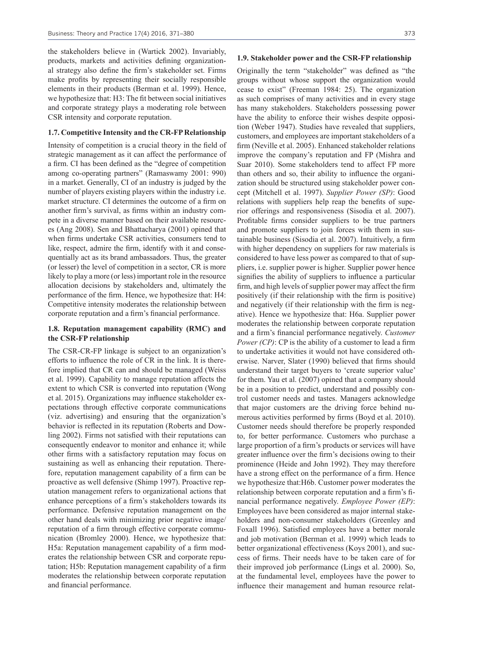the stakeholders believe in (Wartick 2002). Invariably, products, markets and activities defining organizational strategy also define the firm's stakeholder set. Firms make profits by representing their socially responsible elements in their products (Berman et al. 1999). Hence, we hypothesize that: H3: The fit between social initiatives and corporate strategy plays a moderating role between CSR intensity and corporate reputation.

#### **1.7. Competitive Intensity and the CR-FP Relationship**

Intensity of competition is a crucial theory in the field of strategic management as it can affect the performance of a firm. CI has been defined as the "degree of competition among co-operating partners" (Ramaswamy 2001: 990) in a market. Generally, CI of an industry is judged by the number of players existing players within the industry i.e. market structure. CI determines the outcome of a firm on another firm's survival, as firms within an industry compete in a diverse manner based on their available resources (Ang 2008). Sen and Bhattacharya (2001) opined that when firms undertake CSR activities, consumers tend to like, respect, admire the firm, identify with it and consequentially act as its brand ambassadors. Thus, the greater (or lesser) the level of competition in a sector, CR is more likely to play a more (or less) important role in the resource allocation decisions by stakeholders and, ultimately the performance of the firm. Hence, we hypothesize that: H4: Competitive intensity moderates the relationship between corporate reputation and a firm's financial performance.

## **1.8. Reputation management capability (RMC) and the CSR-FP relationship**

The CSR-CR-FP linkage is subject to an organization's efforts to influence the role of CR in the link. It is therefore implied that CR can and should be managed (Weiss et al. 1999). Capability to manage reputation affects the extent to which CSR is converted into reputation (Wong et al. 2015). Organizations may influence stakeholder expectations through effective corporate communications (viz. advertising) and ensuring that the organization's behavior is reflected in its reputation (Roberts and Dowling 2002). Firms not satisfied with their reputations can consequently endeavor to monitor and enhance it; while other firms with a satisfactory reputation may focus on sustaining as well as enhancing their reputation. Therefore, reputation management capability of a firm can be proactive as well defensive (Shimp 1997). Proactive reputation management refers to organizational actions that enhance perceptions of a firm's stakeholders towards its performance. Defensive reputation management on the other hand deals with minimizing prior negative image/ reputation of a firm through effective corporate communication (Bromley 2000). Hence, we hypothesize that: H5a: Reputation management capability of a firm moderates the relationship between CSR and corporate reputation; H5b: Reputation management capability of a firm moderates the relationship between corporate reputation and financial performance.

#### **1.9. Stakeholder power and the CSR-FP relationship**

Originally the term "stakeholder" was defined as "the groups without whose support the organization would cease to exist" (Freeman 1984: 25). The organization as such comprises of many activities and in every stage has many stakeholders. Stakeholders possessing power have the ability to enforce their wishes despite opposition (Weber 1947). Studies have revealed that suppliers, customers, and employees are important stakeholders of a firm (Neville et al. 2005). Enhanced stakeholder relations improve the company's reputation and FP (Mishra and Suar 2010). Some stakeholders tend to affect FP more than others and so, their ability to influence the organization should be structured using stakeholder power concept (Mitchell et al. 1997). *Supplier Power (SP)*: Good relations with suppliers help reap the benefits of superior offerings and responsiveness (Sisodia et al. 2007). Profitable firms consider suppliers to be true partners and promote suppliers to join forces with them in sustainable business (Sisodia et al. 2007). Intuitively, a firm with higher dependency on suppliers for raw materials is considered to have less power as compared to that of suppliers, i.e. supplier power is higher. Supplier power hence signifies the ability of suppliers to influence a particular firm, and high levels of supplier power may affect the firm positively (if their relationship with the firm is positive) and negatively (if their relationship with the firm is negative). Hence we hypothesize that: H6a. Supplier power moderates the relationship between corporate reputation and a firm's financial performance negatively. *Customer Power (CP)*: CP is the ability of a customer to lead a firm to undertake activities it would not have considered otherwise. Narver, Slater (1990) believed that firms should understand their target buyers to 'create superior value' for them. Yau et al. (2007) opined that a company should be in a position to predict, understand and possibly control customer needs and tastes. Managers acknowledge that major customers are the driving force behind numerous activities performed by firms (Boyd et al. 2010). Customer needs should therefore be properly responded to, for better performance. Customers who purchase a large proportion of a firm's products or services will have greater influence over the firm's decisions owing to their prominence (Heide and John 1992). They may therefore have a strong effect on the performance of a firm. Hence we hypothesize that:H6b. Customer power moderates the relationship between corporate reputation and a firm's financial performance negatively. *Employee Power (EP)*: Employees have been considered as major internal stakeholders and non-consumer stakeholders (Greenley and Foxall 1996). Satisfied employees have a better morale and job motivation (Berman et al. 1999) which leads to better organizational effectiveness (Koys 2001), and success of firms. Their needs have to be taken care of for their improved job performance (Lings et al. 2000). So, at the fundamental level, employees have the power to influence their management and human resource relat-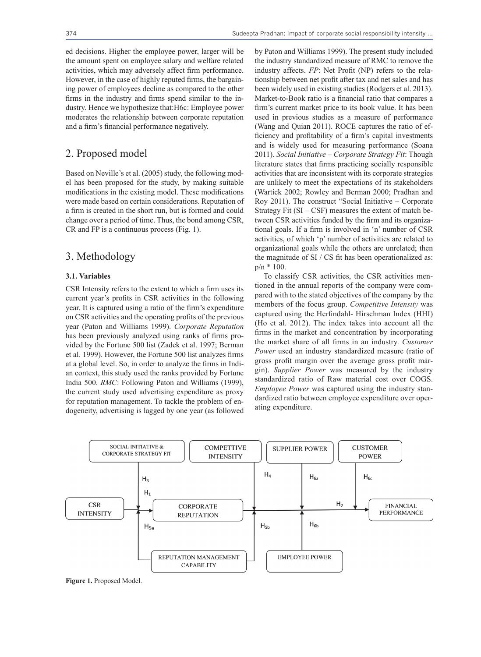ed decisions. Higher the employee power, larger will be the amount spent on employee salary and welfare related activities, which may adversely affect firm performance. However, in the case of highly reputed firms, the bargaining power of employees decline as compared to the other firms in the industry and firms spend similar to the industry. Hence we hypothesize that:H6c: Employee power moderates the relationship between corporate reputation and a firm's financial performance negatively.

## 2. Proposed model

Based on Neville's et al. (2005) study, the following model has been proposed for the study, by making suitable modifications in the existing model. These modifications were made based on certain considerations. Reputation of a firm is created in the short run, but is formed and could change over a period of time. Thus, the bond among CSR, CR and FP is a continuous process (Fig. 1).

## 3. Methodology

## **3.1. Variables**

CSR Intensity refers to the extent to which a firm uses its current year's profits in CSR activities in the following year. It is captured using a ratio of the firm's expenditure on CSR activities and the operating profits of the previous year (Paton and Williams 1999). *Corporate Reputation* has been previously analyzed using ranks of firms provided by the Fortune 500 list (Zadek et al. 1997; Berman et al. 1999). However, the Fortune 500 list analyzes firms at a global level. So, in order to analyze the firms in Indian context, this study used the ranks provided by Fortune India 500. *RMC*: Following Paton and Williams (1999), the current study used advertising expenditure as proxy for reputation management. To tackle the problem of endogeneity, advertising is lagged by one year (as followed

by Paton and Williams 1999). The present study included the industry standardized measure of RMC to remove the industry affects. *FP*: Net Profit (NP) refers to the relationship between net profit after tax and net sales and has been widely used in existing studies (Rodgers et al. 2013). Market-to-Book ratio is a financial ratio that compares a firm's current market price to its book value. It has been used in previous studies as a measure of performance (Wang and Quian 2011). ROCE captures the ratio of efficiency and profitability of a firm's capital investments and is widely used for measuring performance (Soana 2011). *Social Initiative – Corporate Strategy Fit*: Though literature states that firms practicing socially responsible activities that are inconsistent with its corporate strategies are unlikely to meet the expectations of its stakeholders (Wartick 2002; Rowley and Berman 2000; Pradhan and Roy 2011). The construct "Social Initiative – Corporate Strategy Fit  $(SI - CSF)$  measures the extent of match between CSR activities funded by the firm and its organizational goals. If a firm is involved in 'n' number of CSR activities, of which 'p' number of activities are related to organizational goals while the others are unrelated; then the magnitude of SI / CS fit has been operationalized as: p/n \* 100.

To classify CSR activities, the CSR activities mentioned in the annual reports of the company were compared with to the stated objectives of the company by the members of the focus group. *Competitive Intensity* was captured using the Herfindahl- Hirschman Index (HHI) (Ho et al. 2012). The index takes into account all the firms in the market and concentration by incorporating the market share of all firms in an industry. *Customer Power* used an industry standardized measure (ratio of gross profit margin over the average gross profit margin). *Supplier Power* was measured by the industry standardized ratio of Raw material cost over COGS. *Employee Power* was captured using the industry standardized ratio between employee expenditure over operating expenditure.



**Figure 1.** Proposed Model.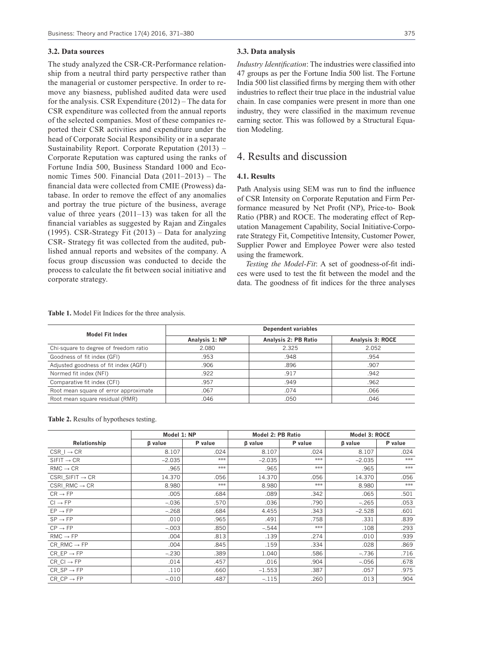#### **3.2. Data sources**

The study analyzed the CSR-CR-Performance relationship from a neutral third party perspective rather than the managerial or customer perspective. In order to remove any biasness, published audited data were used for the analysis. CSR Expenditure (2012) – The data for CSR expenditure was collected from the annual reports of the selected companies. Most of these companies reported their CSR activities and expenditure under the head of Corporate Social Responsibility or in a separate Sustainability Report. Corporate Reputation (2013) – Corporate Reputation was captured using the ranks of Fortune India 500, Business Standard 1000 and Economic Times 500. Financial Data (2011–2013) – The financial data were collected from CMIE (Prowess) database. In order to remove the effect of any anomalies and portray the true picture of the business, average value of three years (2011–13) was taken for all the financial variables as suggested by Rajan and Zingales (1995). CSR-Strategy Fit (2013) – Data for analyzing CSR- Strategy fit was collected from the audited, published annual reports and websites of the company. A focus group discussion was conducted to decide the process to calculate the fit between social initiative and corporate strategy.

#### **3.3. Data analysis**

*Industry Identification*: The industries were classified into 47 groups as per the Fortune India 500 list. The Fortune India 500 list classified firms by merging them with other industries to reflect their true place in the industrial value chain. In case companies were present in more than one industry, they were classified in the maximum revenue earning sector. This was followed by a Structural Equation Modeling.

## 4. Results and discussion

#### **4.1. Results**

Path Analysis using SEM was run to find the influence of CSR Intensity on Corporate Reputation and Firm Performance measured by Net Profit (NP), Price-to- Book Ratio (PBR) and ROCE. The moderating effect of Reputation Management Capability, Social Initiative-Corporate Strategy Fit, Competitive Intensity, Customer Power, Supplier Power and Employee Power were also tested using the framework.

*Testing the Model-Fit*: A set of goodness-of-fit indices were used to test the fit between the model and the data. The goodness of fit indices for the three analyses

**Table 1.** Model Fit Indices for the three analysis.

| <b>Model Fit Index</b>                | <b>Dependent variables</b> |                      |                  |  |  |
|---------------------------------------|----------------------------|----------------------|------------------|--|--|
|                                       | Analysis 1: NP             | Analysis 2: PB Ratio | Analysis 3: ROCE |  |  |
| Chi-square to degree of freedom ratio | 2.080                      | 2.325                | 2.052            |  |  |
| Goodness of fit index (GFI)           | .953                       | .948                 | .954             |  |  |
| Adjusted goodness of fit index (AGFI) | .906                       | .896                 | .907             |  |  |
| Normed fit index (NFI)                | .922                       | .917                 | .942             |  |  |
| Comparative fit index (CFI)           | .957                       | .949                 | .962             |  |  |
| Root mean square of error approximate | .067                       | .074                 | .066             |  |  |
| Root mean square residual (RMR)       | .046                       | .050                 | .046             |  |  |

**Table 2.** Results of hypotheses testing.

|                                 | Model 1: NP |         | <b>Model 2: PB Ratio</b> |         | Model 3: ROCE  |         |
|---------------------------------|-------------|---------|--------------------------|---------|----------------|---------|
| Relationship                    | β value     | P value | <b>B</b> value           | P value | <b>B</b> value | P value |
| $CSR_I \rightarrow CR$          | 8.107       | .024    | 8.107                    | .024    | 8.107          | .024    |
| $SIFIT \rightarrow CR$          | $-2.035$    | ***     | $-2.035$                 | ***     | $-2.035$       | ***     |
| $RMC \rightarrow CR$            | .965        | ***     | .965                     | ***     | .965           | ***     |
| CSRI SIFIT $\rightarrow$ CR     | 14.370      | .056    | 14.370                   | .056    | 14.370         | .056    |
| CSRI RMC $\rightarrow$ CR       | 8.980       | ***     | 8.980                    | ***     | 8.980          | ***     |
| $CR \rightarrow FP$             | .005        | .684    | .089                     | .342    | .065           | .501    |
| $Cl \rightarrow FP$             | $-.036$     | .570    | .036                     | .790    | $-.265$        | .053    |
| $EP \rightarrow FP$             | $-.268$     | .684    | 4.455                    | .343    | $-2.528$       | .601    |
| $SP \rightarrow FP$             | .010        | .965    | .491                     | .758    | .331           | .839    |
| $CP \rightarrow FP$             | $-.003$     | .850    | $-.544$                  | ***     | .108           | .293    |
| $RMC \rightarrow FP$            | .004        | .813    | .139                     | .274    | .010           | .939    |
| $CR$ RMC $\rightarrow$ FP       | .004        | .845    | .159                     | .334    | .028           | .869    |
| $CR$ EP $\rightarrow$ FP        | $-.230$     | .389    | 1.040                    | .586    | $-.736$        | .716    |
| $CR \text{ } Cl \rightarrow FP$ | .014        | .457    | .016                     | .904    | $-.056$        | .678    |
| $CR$ SP $\rightarrow$ FP        | .110        | .660    | $-1.553$                 | .387    | .057           | .975    |
| $CR$ $CP \rightarrow FP$        | $-.010$     | .487    | $-.115$                  | .260    | .013           | .904    |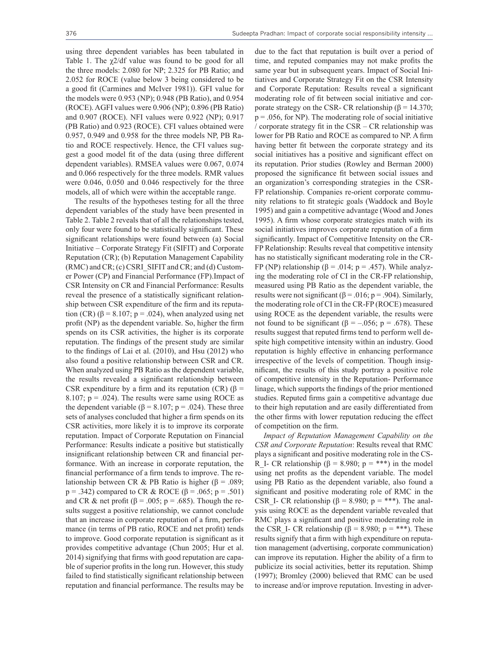using three dependent variables has been tabulated in Table 1. The  $\gamma$ 2/df value was found to be good for all the three models: 2.080 for NP; 2.325 for PB Ratio; and 2.052 for ROCE (value below 3 being considered to be a good fit (Carmines and McIver 1981)). GFI value for the models were 0.953 (NP); 0.948 (PB Ratio), and 0.954 (ROCE). AGFI values were 0.906 (NP); 0.896 (PB Ratio) and 0.907 (ROCE). NFI values were 0.922 (NP); 0.917 (PB Ratio) and 0.923 (ROCE). CFI values obtained were 0.957, 0.949 and 0.958 for the three models NP, PB Ratio and ROCE respectively. Hence, the CFI values suggest a good model fit of the data (using three different dependent variables). RMSEA values were 0.067, 0.074 and 0.066 respectively for the three models. RMR values were 0.046, 0.050 and 0.046 respectively for the three models, all of which were within the acceptable range.

The results of the hypotheses testing for all the three dependent variables of the study have been presented in Table 2. Table 2 reveals that of all the relationships tested, only four were found to be statistically significant. These significant relationships were found between (a) Social Initiative – Corporate Strategy Fit (SIFIT) and Corporate Reputation (CR); (b) Reputation Management Capability (RMC) and CR; (c) CSRI\_SIFIT and CR; and (d) Customer Power (CP) and Financial Performance (FP).Impact of CSR Intensity on CR and Financial Performance: Results reveal the presence of a statistically significant relationship between CSR expenditure of the firm and its reputation (CR) ( $\beta$  = 8.107; p = .024), when analyzed using net profit (NP) as the dependent variable. So, higher the firm spends on its CSR activities, the higher is its corporate reputation. The findings of the present study are similar to the findings of Lai et al. (2010), and Hsu (2012) who also found a positive relationship between CSR and CR. When analyzed using PB Ratio as the dependent variable, the results revealed a significant relationship between CSR expenditure by a firm and its reputation (CR) ( $\beta$  = 8.107;  $p = .024$ ). The results were same using ROCE as the dependent variable ( $\beta$  = 8.107; p = .024). These three sets of analyses concluded that higher a firm spends on its CSR activities, more likely it is to improve its corporate reputation. Impact of Corporate Reputation on Financial Performance: Results indicate a positive but statistically insignificant relationship between CR and financial performance. With an increase in corporate reputation, the financial performance of a firm tends to improve. The relationship between CR & PB Ratio is higher (β = .089;  $p = .342$ ) compared to CR & ROCE (β = .065; p = .501) and CR & net profit ( $\beta$  = .005; p = .685). Though the results suggest a positive relationship, we cannot conclude that an increase in corporate reputation of a firm, performance (in terms of PB ratio, ROCE and net profit) tends to improve. Good corporate reputation is significant as it provides competitive advantage (Chun 2005; Hur et al. 2014) signifying that firms with good reputation are capable of superior profits in the long run. However, this study failed to find statistically significant relationship between reputation and financial performance. The results may be

due to the fact that reputation is built over a period of time, and reputed companies may not make profits the same year but in subsequent years. Impact of Social Initiatives and Corporate Strategy Fit on the CSR Intensity and Corporate Reputation: Results reveal a significant moderating role of fit between social initiative and corporate strategy on the CSR- CR relationship ( $\beta$  = 14.370;  $p = 0.056$ , for NP). The moderating role of social initiative / corporate strategy fit in the CSR – CR relationship was lower for PB Ratio and ROCE as compared to NP. A firm having better fit between the corporate strategy and its social initiatives has a positive and significant effect on its reputation. Prior studies (Rowley and Berman 2000) proposed the significance fit between social issues and an organization's corresponding strategies in the CSR-FP relationship. Companies re-orient corporate community relations to fit strategic goals (Waddock and Boyle 1995) and gain a competitive advantage (Wood and Jones 1995). A firm whose corporate strategies match with its social initiatives improves corporate reputation of a firm significantly. Impact of Competitive Intensity on the CR-FP Relationship: Results reveal that competitive intensity has no statistically significant moderating role in the CR-FP (NP) relationship  $(β = .014; p = .457)$ . While analyzing the moderating role of CI in the CR-FP relationship, measured using PB Ratio as the dependent variable, the results were not significant ( $\beta$  = .016; p = .904). Similarly, the moderating role of CI in the CR-FP (ROCE) measured using ROCE as the dependent variable, the results were not found to be significant (β = –.056; p = .678). These results suggest that reputed firms tend to perform well despite high competitive intensity within an industry. Good reputation is highly effective in enhancing performance irrespective of the levels of competition. Though insignificant, the results of this study portray a positive role of competitive intensity in the Reputation- Performance linage, which supports the findings of the prior mentioned studies. Reputed firms gain a competitive advantage due to their high reputation and are easily differentiated from the other firms with lower reputation reducing the effect of competition on the firm.

*Impact of Reputation Management Capability on the CSR and Corporate Reputation*: Results reveal that RMC plays a significant and positive moderating role in the CS-R I- CR relationship ( $\beta = 8.980$ ; p = \*\*\*) in the model using net profits as the dependent variable. The model using PB Ratio as the dependent variable, also found a significant and positive moderating role of RMC in the CSR I- CR relationship ( $\beta$  = 8.980; p = \*\*\*). The analysis using ROCE as the dependent variable revealed that RMC plays a significant and positive moderating role in the CSR\_I- CR relationship ( $\beta$  = 8.980; p = \*\*\*). These results signify that a firm with high expenditure on reputation management (advertising, corporate communication) can improve its reputation. Higher the ability of a firm to publicize its social activities, better its reputation. Shimp (1997); Bromley (2000) believed that RMC can be used to increase and/or improve reputation. Investing in adver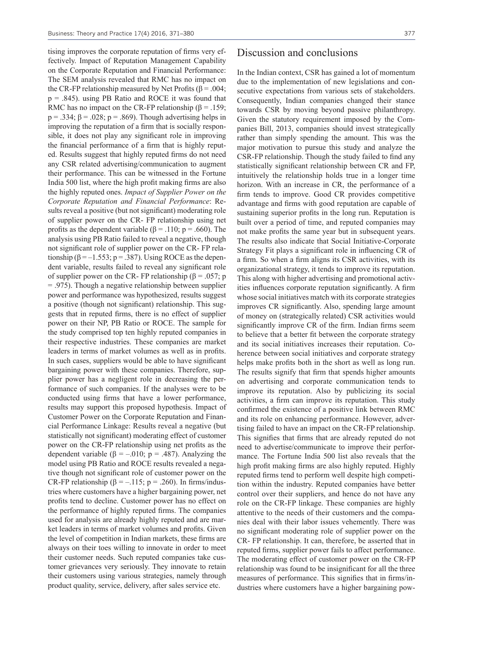tising improves the corporate reputation of firms very effectively. Impact of Reputation Management Capability on the Corporate Reputation and Financial Performance: The SEM analysis revealed that RMC has no impact on the CR-FP relationship measured by Net Profits ( $β = .004$ ; p = .845). using PB Ratio and ROCE it was found that RMC has no impact on the CR-FP relationship ( $\beta$  = .159;  $p = .334$ ;  $\beta = .028$ ;  $p = .869$ ). Though advertising helps in improving the reputation of a firm that is socially responsible, it does not play any significant role in improving the financial performance of a firm that is highly reputed. Results suggest that highly reputed firms do not need any CSR related advertising/communication to augment their performance. This can be witnessed in the Fortune India 500 list, where the high profit making firms are also the highly reputed ones. *Impact of Supplier Power on the Corporate Reputation and Financial Performance*: Results reveal a positive (but not significant) moderating role of supplier power on the CR- FP relationship using net profits as the dependent variable ( $\beta$  = .110; p = .660). The analysis using PB Ratio failed to reveal a negative, though not significant role of supplier power on the CR- FP relationship ( $\beta = -1.553$ ; p = .387). Using ROCE as the dependent variable, results failed to reveal any significant role of supplier power on the CR- FP relationship ( $\beta$  = .057; p = .975). Though a negative relationship between supplier power and performance was hypothesized, results suggest a positive (though not significant) relationship. This suggests that in reputed firms, there is no effect of supplier power on their NP, PB Ratio or ROCE. The sample for the study comprised top ten highly reputed companies in their respective industries. These companies are market leaders in terms of market volumes as well as in profits. In such cases, suppliers would be able to have significant bargaining power with these companies. Therefore, supplier power has a negligent role in decreasing the performance of such companies. If the analyses were to be conducted using firms that have a lower performance, results may support this proposed hypothesis. Impact of Customer Power on the Corporate Reputation and Financial Performance Linkage: Results reveal a negative (but statistically not significant) moderating effect of customer power on the CR-FP relationship using net profits as the dependent variable ( $\beta = -0.010$ ; p = .487). Analyzing the model using PB Ratio and ROCE results revealed a negative though not significant role of customer power on the CR-FP relationship ( $\beta = -.115$ ; p = .260). In firms/industries where customers have a higher bargaining power, net profits tend to decline. Customer power has no effect on the performance of highly reputed firms. The companies used for analysis are already highly reputed and are market leaders in terms of market volumes and profits. Given the level of competition in Indian markets, these firms are always on their toes willing to innovate in order to meet their customer needs. Such reputed companies take customer grievances very seriously. They innovate to retain their customers using various strategies, namely through product quality, service, delivery, after sales service etc.

## Discussion and conclusions

In the Indian context, CSR has gained a lot of momentum due to the implementation of new legislations and consecutive expectations from various sets of stakeholders. Consequently, Indian companies changed their stance towards CSR by moving beyond passive philanthropy. Given the statutory requirement imposed by the Companies Bill, 2013, companies should invest strategically rather than simply spending the amount. This was the major motivation to pursue this study and analyze the CSR-FP relationship. Though the study failed to find any statistically significant relationship between CR and FP, intuitively the relationship holds true in a longer time horizon. With an increase in CR, the performance of a firm tends to improve. Good CR provides competitive advantage and firms with good reputation are capable of sustaining superior profits in the long run. Reputation is built over a period of time, and reputed companies may not make profits the same year but in subsequent years. The results also indicate that Social Initiative-Corporate Strategy Fit plays a significant role in influencing CR of a firm. So when a firm aligns its CSR activities, with its organizational strategy, it tends to improve its reputation. This along with higher advertising and promotional activities influences corporate reputation significantly. A firm whose social initiatives match with its corporate strategies improves CR significantly. Also, spending large amount of money on (strategically related) CSR activities would significantly improve CR of the firm. Indian firms seem to believe that a better fit between the corporate strategy and its social initiatives increases their reputation. Coherence between social initiatives and corporate strategy helps make profits both in the short as well as long run. The results signify that firm that spends higher amounts on advertising and corporate communication tends to improve its reputation. Also by publicizing its social activities, a firm can improve its reputation. This study confirmed the existence of a positive link between RMC and its role on enhancing performance. However, advertising failed to have an impact on the CR-FP relationship. This signifies that firms that are already reputed do not need to advertise/communicate to improve their performance. The Fortune India 500 list also reveals that the high profit making firms are also highly reputed. Highly reputed firms tend to perform well despite high competition within the industry. Reputed companies have better control over their suppliers, and hence do not have any role on the CR-FP linkage. These companies are highly attentive to the needs of their customers and the companies deal with their labor issues vehemently. There was no significant moderating role of supplier power on the CR- FP relationship. It can, therefore, be asserted that in reputed firms, supplier power fails to affect performance. The moderating effect of customer power on the CR-FP relationship was found to be insignificant for all the three measures of performance. This signifies that in firms/industries where customers have a higher bargaining pow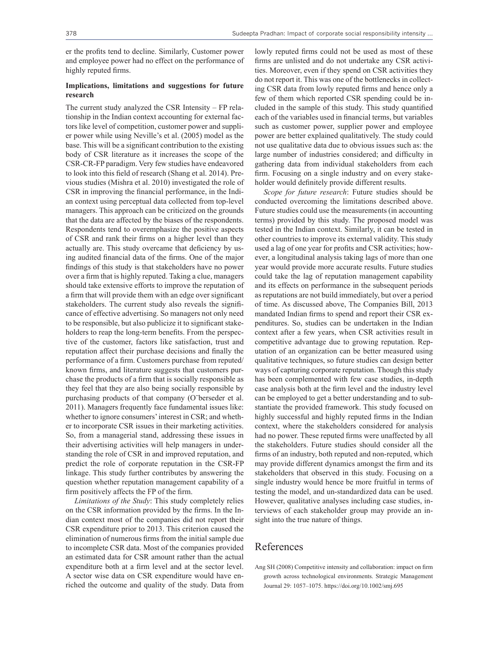er the profits tend to decline. Similarly, Customer power and employee power had no effect on the performance of highly reputed firms.

## **Implications, limitations and suggestions for future research**

The current study analyzed the CSR Intensity – FP relationship in the Indian context accounting for external factors like level of competition, customer power and supplier power while using Neville's et al. (2005) model as the base. This will be a significant contribution to the existing body of CSR literature as it increases the scope of the CSR-CR-FP paradigm. Very few studies have endeavored to look into this field of research (Shang et al. 2014). Previous studies (Mishra et al. 2010) investigated the role of CSR in improving the financial performance, in the Indian context using perceptual data collected from top-level managers. This approach can be criticized on the grounds that the data are affected by the biases of the respondents. Respondents tend to overemphasize the positive aspects of CSR and rank their firms on a higher level than they actually are. This study overcame that deficiency by using audited financial data of the firms. One of the major findings of this study is that stakeholders have no power over a firm that is highly reputed. Taking a clue, managers should take extensive efforts to improve the reputation of a firm that will provide them with an edge over significant stakeholders. The current study also reveals the significance of effective advertising. So managers not only need to be responsible, but also publicize it to significant stakeholders to reap the long-term benefits. From the perspective of the customer, factors like satisfaction, trust and reputation affect their purchase decisions and finally the performance of a firm. Customers purchase from reputed/ known firms, and literature suggests that customers purchase the products of a firm that is socially responsible as they feel that they are also being socially responsible by purchasing products of that company (O¨berseder et al. 2011). Managers frequently face fundamental issues like: whether to ignore consumers' interest in CSR; and whether to incorporate CSR issues in their marketing activities. So, from a managerial stand, addressing these issues in their advertising activities will help managers in understanding the role of CSR in and improved reputation, and predict the role of corporate reputation in the CSR-FP linkage. This study further contributes by answering the question whether reputation management capability of a firm positively affects the FP of the firm.

*Limitations of the Study*: This study completely relies on the CSR information provided by the firms. In the Indian context most of the companies did not report their CSR expenditure prior to 2013. This criterion caused the elimination of numerous firms from the initial sample due to incomplete CSR data. Most of the companies provided an estimated data for CSR amount rather than the actual expenditure both at a firm level and at the sector level. A sector wise data on CSR expenditure would have enriched the outcome and quality of the study. Data from lowly reputed firms could not be used as most of these firms are unlisted and do not undertake any CSR activities. Moreover, even if they spend on CSR activities they do not report it. This was one of the bottlenecks in collecting CSR data from lowly reputed firms and hence only a few of them which reported CSR spending could be included in the sample of this study. This study quantified each of the variables used in financial terms, but variables such as customer power, supplier power and employee power are better explained qualitatively. The study could not use qualitative data due to obvious issues such as: the large number of industries considered; and difficulty in gathering data from individual stakeholders from each firm. Focusing on a single industry and on every stakeholder would definitely provide different results.

*Scope for future research*: Future studies should be conducted overcoming the limitations described above. Future studies could use the measurements (in accounting terms) provided by this study. The proposed model was tested in the Indian context. Similarly, it can be tested in other countries to improve its external validity. This study used a lag of one year for profits and CSR activities; however, a longitudinal analysis taking lags of more than one year would provide more accurate results. Future studies could take the lag of reputation management capability and its effects on performance in the subsequent periods as reputations are not build immediately, but over a period of time. As discussed above, The Companies Bill, 2013 mandated Indian firms to spend and report their CSR expenditures. So, studies can be undertaken in the Indian context after a few years, when CSR activities result in competitive advantage due to growing reputation. Reputation of an organization can be better measured using qualitative techniques, so future studies can design better ways of capturing corporate reputation. Though this study has been complemented with few case studies, in-depth case analysis both at the firm level and the industry level can be employed to get a better understanding and to substantiate the provided framework. This study focused on highly successful and highly reputed firms in the Indian context, where the stakeholders considered for analysis had no power. These reputed firms were unaffected by all the stakeholders. Future studies should consider all the firms of an industry, both reputed and non-reputed, which may provide different dynamics amongst the firm and its stakeholders that observed in this study. Focusing on a single industry would hence be more fruitful in terms of testing the model, and un-standardized data can be used. However, qualitative analyses including case studies, interviews of each stakeholder group may provide an insight into the true nature of things.

## References

Ang SH (2008) Competitive intensity and collaboration: impact on firm growth across technological environments. Strategic Management Journal 29: 1057–1075. https://doi.org/10.1002/smj.695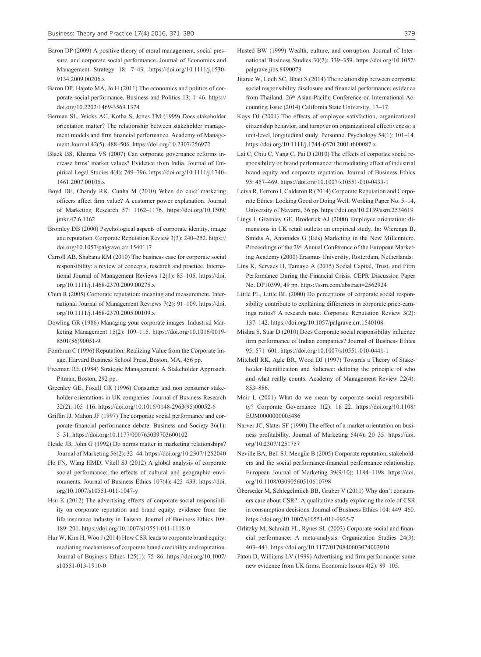- Baron DP (2009) A positive theory of moral management, social pressure, and corporate social performance. Journal of Economics and Management Strategy 18: 7–43. https://doi.org/10.1111/j.1530- 9134.2009.00206.x
- Baron DP, Hajoto MA, Jo H (2011) The economics and politics of corporate social performance. Business and Politics 13: 1–46. https:// doi.org/10.2202/1469-3569.1374
- Berman SL, Wicks AC, Kotha S, Jones TM (1999) Does stakeholder orientation matter? The relationship between stakeholder management models and firm financial performance. Academy of Management Journal 42(5): 488–506. https://doi.org/10.2307/256972
- Black BS, Khanna VS (2007) Can corporate governance reforms increase firms' market values? Evidence from India. Journal of Empirical Legal Studies 4(4): 749–796. https://doi.org/10.1111/j.1740- 1461.2007.00106.x
- Boyd DE, Chandy RK, Cunha M (2010) When do chief marketing officers affect firm value? A customer power explanation. Journal of Marketing Research 57: 1162–1176. https://doi.org/10.1509/ jmkr.47.6.1162
- Bromley DB (2000) Psychological aspects of corporate identity, image and reputation. Corporate Reputation Review 3(3): 240–252. https:// doi.org/10.1057/palgrave.crr.1540117
- Carroll AB, Shabana KM (2010) The business case for corporate social responsibility: a review of concepts, research and practice. International Journal of Management Reviews 12(1): 85–105. https://doi. org/10.1111/j.1468-2370.2009.00275.x
- Chun R (2005) Corporate reputation: meaning and measurement. International Journal of Management Reviews 7(2): 91–109. https://doi. org/10.1111/j.1468-2370.2005.00109.x
- Dowling GR (1986) Managing your corporate images. Industrial Marketing Management 15(2): 109–115. https://doi.org/10.1016/0019- 8501(86)90051-9
- Fombrun C (1996) Reputation: Realizing Value from the Corporate Image. Harvard Business School Press, Boston, MA, 456 pp.
- Freeman RE (1984) Strategic Management: A Stakeholder Approach. Pitman, Boston, 292 pp.
- Greenley GE, Foxall GR (1996) Consumer and non consumer stakeholder orientations in UK companies. Journal of Business Research 32(2): 105–116. https://doi.org/10.1016/0148-2963(95)00052-6
- Griffin JJ, Mahon JF (1997) The corporate social performance and corporate financial performance debate. Business and Society 36(1): 5–31. https://doi.org/10.1177/000765039703600102
- Heide JB, John G (1992) Do norms matter in marketing relationships? Journal of Marketing 56(2): 32–44. https://doi.org/10.2307/1252040
- Ho FN, Wang HMD, Vitell SJ (2012) A global analysis of corporate social performance: the effects of cultural and geographic environments. Journal of Business Ethics 107(4): 423–433. https://doi. org/10.1007/s10551-011-1047-y
- Hsu K (2012) The advertising effects of corporate social responsibility on corporate reputation and brand equity: evidence from the life insurance industry in Taiwan. Journal of Business Ethics 109: 189–201. https://doi.org/10.1007/s10551-011-1118-0
- Hur W, Kim H, Woo J (2014) How CSR leads to corporate brand equity: mediating mechanisms of corporate brand credibility and reputation. Journal of Business Ethics 125(1): 75–86. https://doi.org/10.1007/ s10551-013-1910-0
- Husted BW (1999) Wealth, culture, and corruption. Journal of International Business Studies 30(2): 339–359. https://doi.org/10.1057/ palgrave.jibs.8490073
- Jitaree W, Lodh SC, Bhati S (2014) The relationship between corporate social responsibility disclosure and financial performance: evidence from Thailand. 26<sup>th</sup> Asian-Pacific Conference on International Accounting Issue (2014) California State University, 17–17.
- Koys DJ (2001) The effects of employee satisfaction, organizational citizenship behavior, and turnover on organizational effectiveness: a unit-level, longitudinal study. Personnel Psychology 54(1): 101–14. https://doi.org/10.1111/j.1744-6570.2001.tb00087.x
- Lai C, Chiu C, Yang C, Pai D (2010) The effects of corporate social responsibility on brand performance: the mediating effect of industrial brand equity and corporate reputation. Journal of Business Ethics 95: 457–469. https://doi.org/10.1007/s10551-010-0433-1
- Leiva R, Ferrero I, Calderon R (2014) Corporate Reputation and Corporate Ethics: Looking Good or Doing Well. Working Paper No. 5–14, University of Navarra, 36 pp. https://doi.org/10.2139/ssrn.2534619
- Lings I, Greenley GE, Broderick AJ (2000) Employee orientation: dimensions in UK retail outlets: an empirical study. In: Wierenga B, Smidts A, Antonides G (Eds) Marketing in the New Millennium. Proceedings of the 29<sup>th</sup> Annual Conference of the European Marketing Academy (2000) Erasmus University, Rotterdam, Netherlands.
- Lins K, Servaes H, Tamayo A (2015) Social Capital, Trust, and Firm Performance During the Financial Crisis. CEPR Discussion Paper No. DP10399, 49 pp. https://ssrn.com/abstract=2562924
- Little PL, Little BL (2000) Do perceptions of corporate social responsibility contribute to explaining differences in corporate price-earnings ratios? A research note. Corporate Reputation Review 3(2): 137–142. https://doi.org/10.1057/palgrave.crr.1540108
- Mishra S, Suar D (2010) Does Corporate social responsibility influence firm performance of Indian companies? Journal of Business Ethics 95: 571–601. https://doi.org/10.1007/s10551-010-0441-1
- Mitchell RK, Agle BR, Wood DJ (1997) Towards a Theory of Stakeholder Identification and Salience: defining the principle of who and what really counts. Academy of Management Review 22(4): 853–886.
- Moir L (2001) What do we mean by corporate social responsibility? Corporate Governance 1(2): 16–22. https://doi.org/10.1108/ EUM0000000005486
- Narver JC, Slater SF (1990) The effect of a market orientation on business profitability. Journal of Marketing 54(4): 20–35. https://doi. org/10.2307/1251757
- Neville BA, Bell SJ, Mengüc B (2005) Corporate reputation, stakeholders and the social performance-financial performance relationship. European Journal of Marketing 39(9/10): 1184–1198. https://doi. org/10.1108/03090560510610798
- Öberseder M, Schlegelmilch BB, Gruber V (2011) Why don't consumers care about CSR?: A qualitative study exploring the role of CSR in consumption decisions. Journal of Business Ethics 104: 449–460. https://doi.org/10.1007/s10551-011-0925-7
- Orlitzky M, Schmidt FL, Rynes SL (2003) Corporate social and financial performance: A meta-analysis. Organization Studies 24(3): 403–441. https://doi.org/10.1177/0170840603024003910
- Paton D, Williams LV (1999) Advertising and firm performance: some new evidence from UK firms. Economic Issues 4(2): 89–105.